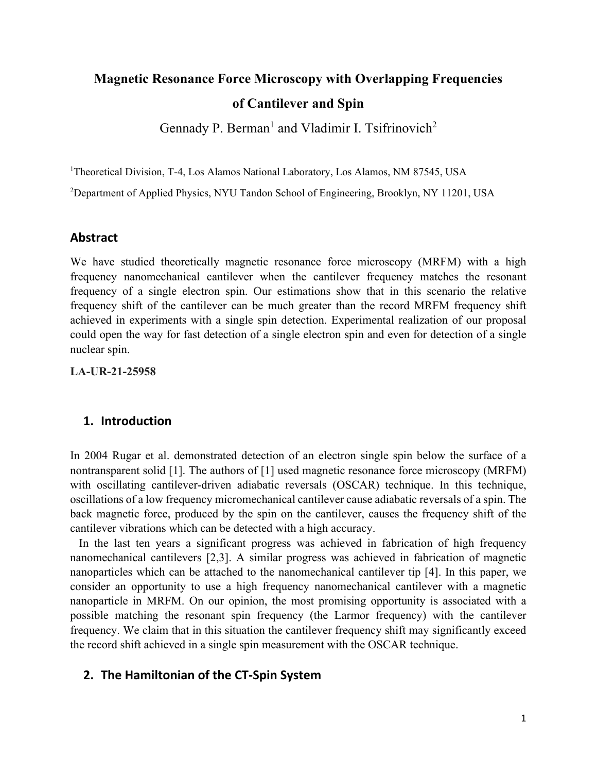# **Magnetic Resonance Force Microscopy with Overlapping Frequencies of Cantilever and Spin**

Gennady P. Berman<sup>1</sup> and Vladimir I. Tsifrinovich<sup>2</sup>

<sup>1</sup>Theoretical Division, T-4, Los Alamos National Laboratory, Los Alamos, NM 87545, USA

<sup>2</sup>Department of Applied Physics, NYU Tandon School of Engineering, Brooklyn, NY 11201, USA

#### **Abstract**

We have studied theoretically magnetic resonance force microscopy (MRFM) with a high frequency nanomechanical cantilever when the cantilever frequency matches the resonant frequency of a single electron spin. Our estimations show that in this scenario the relative frequency shift of the cantilever can be much greater than the record MRFM frequency shift achieved in experiments with a single spin detection. Experimental realization of our proposal could open the way for fast detection of a single electron spin and even for detection of a single nuclear spin.

**LA-UR-21-25958**

### **1. Introduction**

In 2004 Rugar et al. demonstrated detection of an electron single spin below the surface of a nontransparent solid [1]. The authors of [1] used magnetic resonance force microscopy (MRFM) with oscillating cantilever-driven adiabatic reversals (OSCAR) technique. In this technique, oscillations of a low frequency micromechanical cantilever cause adiabatic reversals of a spin. The back magnetic force, produced by the spin on the cantilever, causes the frequency shift of the cantilever vibrations which can be detected with a high accuracy.

 In the last ten years a significant progress was achieved in fabrication of high frequency nanomechanical cantilevers [2,3]. A similar progress was achieved in fabrication of magnetic nanoparticles which can be attached to the nanomechanical cantilever tip [4]. In this paper, we consider an opportunity to use a high frequency nanomechanical cantilever with a magnetic nanoparticle in MRFM. On our opinion, the most promising opportunity is associated with a possible matching the resonant spin frequency (the Larmor frequency) with the cantilever frequency. We claim that in this situation the cantilever frequency shift may significantly exceed the record shift achieved in a single spin measurement with the OSCAR technique.

## **2. The Hamiltonian of the CT-Spin System**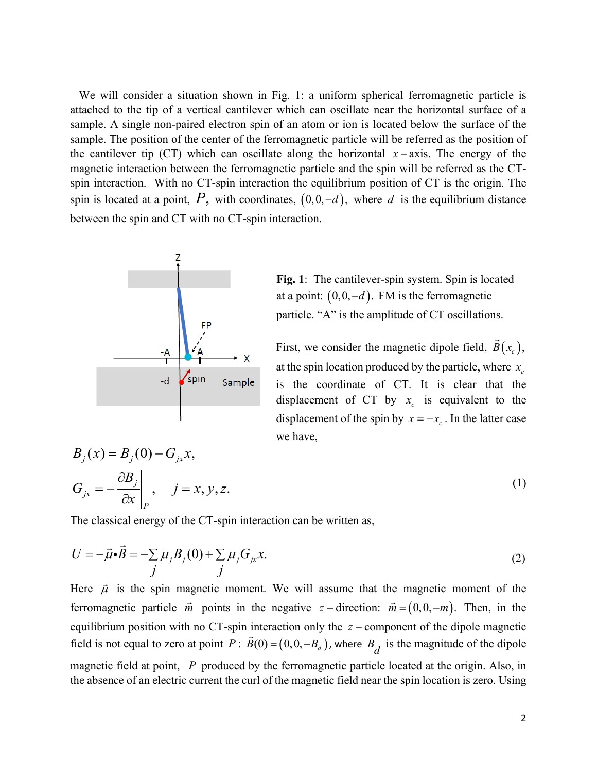We will consider a situation shown in Fig. 1: a uniform spherical ferromagnetic particle is attached to the tip of a vertical cantilever which can oscillate near the horizontal surface of a sample. A single non-paired electron spin of an atom or ion is located below the surface of the sample. The position of the center of the ferromagnetic particle will be referred as the position of the cantilever tip (CT) which can oscillate along the horizontal  $x - axis$ . The energy of the magnetic interaction between the ferromagnetic particle and the spin will be referred as the CTspin interaction. With no CT-spin interaction the equilibrium position of CT is the origin. The spin is located at a point,  $P$ , with coordinates,  $(0,0,-d)$ , where  $d$  is the equilibrium distance between the spin and CT with no CT-spin interaction.



**Fig. 1**: The cantilever-spin system. Spin is located at a point:  $(0,0,-d)$ . FM is the ferromagnetic particle. "A" is the amplitude of CT oscillations.

First, we consider the magnetic dipole field,  $B(x_c)$ ,  $\overline{1}$ at the spin location produced by the particle, where  $x_c$ is the coordinate of CT. It is clear that the displacement of CT by  $x_c$  is equivalent to the displacement of the spin by  $x = -x_c$ . In the latter case we have,

$$
B_j(x) = B_j(0) - G_{jx}x,
$$
  
\n
$$
G_{jx} = -\frac{\partial B_j}{\partial x}\Big|_P, \quad j = x, y, z.
$$
\n(1)

The classical energy of the CT-spin interaction can be written as,

$$
U = -\vec{\mu} \cdot \vec{B} = -\sum_{j} \mu_j B_j(0) + \sum_{j} \mu_j G_{jx} x.
$$
 (2)

Here  $\vec{\mu}$  is the spin magnetic moment. We will assume that the magnetic moment of the ferromagnetic particle  $\vec{m}$  points in the negative *z* − direction:  $\vec{m} = (0,0,-m)$ . Then, in the equilibrium position with no CT-spin interaction only the *z* − component of the dipole magnetic field is not equal to zero at point  $P: \vec{B}(0) = (0, 0, -B_d)$ , where  $B_d$  is the magnitude of the dipole magnetic field at point, *P* produced by the ferromagnetic particle located at the origin. Also, in the absence of an electric current the curl of the magnetic field near the spin location is zero. Using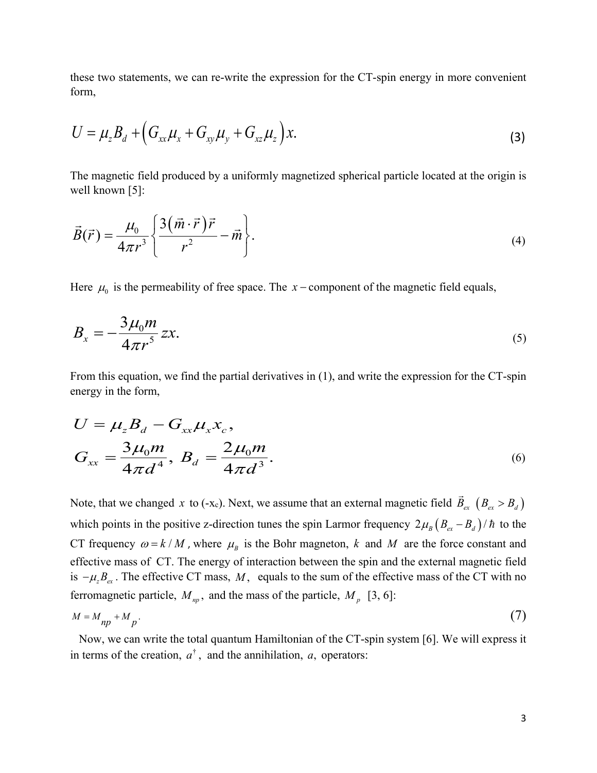these two statements, we can re-write the expression for the CT-spin energy in more convenient form,

$$
U = \mu_z B_d + \left( G_{xx} \mu_x + G_{xy} \mu_y + G_{xz} \mu_z \right) x.
$$
 (3)

The magnetic field produced by a uniformly magnetized spherical particle located at the origin is well known [5]:

$$
\vec{B}(\vec{r}) = \frac{\mu_0}{4\pi r^3} \left\{ \frac{3(\vec{m} \cdot \vec{r}) \vec{r}}{r^2} - \vec{m} \right\}.
$$
\n(4)

Here  $\mu_0$  is the permeability of free space. The *x* − component of the magnetic field equals,

$$
B_x = -\frac{3\mu_0 m}{4\pi r^5} zx.
$$
\n<sup>(5)</sup>

From this equation, we find the partial derivatives in (1), and write the expression for the CT-spin energy in the form,

$$
U = \mu_z B_d - G_{xx} \mu_x x_c,
$$
  
\n
$$
G_{xx} = \frac{3\mu_0 m}{4\pi d^4}, B_d = \frac{2\mu_0 m}{4\pi d^3}.
$$
\n(6)

Note, that we changed *x* to (-x<sub>c</sub>). Next, we assume that an external magnetic field  $\vec{B}_{ex}$   $(B_{ex} > B_{d})$ which points in the positive z-direction tunes the spin Larmor frequency  $2\mu_B (B_{ex} - B_d)/\hbar$  to the CT frequency  $\omega = k/M$ , where  $\mu_B$  is the Bohr magneton, k and M are the force constant and effective mass of CT. The energy of interaction between the spin and the external magnetic field is  $-\mu_z B_{ex}$ . The effective CT mass, *M*, equals to the sum of the effective mass of the CT with no ferromagnetic particle,  $M_{np}$ , and the mass of the particle,  $M_{p}$  [3, 6]:

$$
M = M_{np} + M_p \tag{7}
$$

 Now, we can write the total quantum Hamiltonian of the CT-spin system [6]. We will express it in terms of the creation,  $a^{\dagger}$ , and the annihilation, *a*, operators: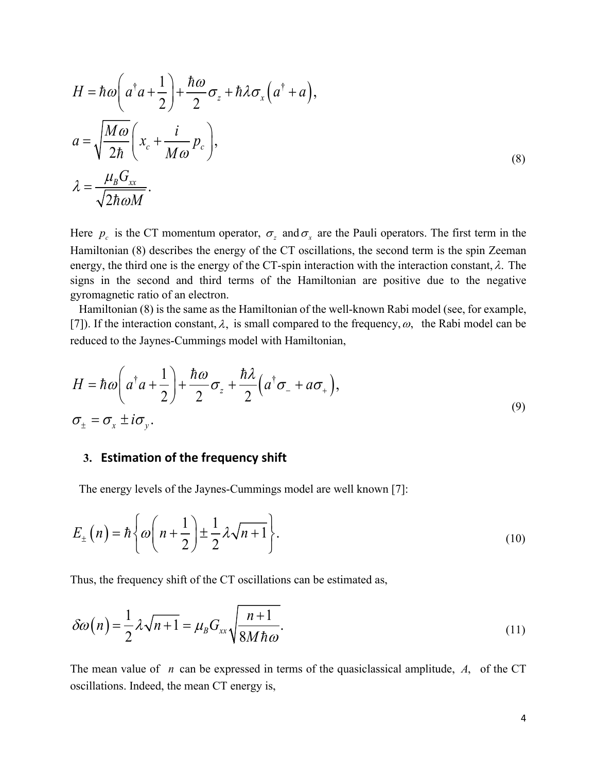$$
H = \hbar \omega \left( a^{\dagger} a + \frac{1}{2} \right) + \frac{\hbar \omega}{2} \sigma_z + \hbar \lambda \sigma_x \left( a^{\dagger} + a \right),
$$
  
\n
$$
a = \sqrt{\frac{M \omega}{2\hbar}} \left( x_c + \frac{i}{M \omega} p_c \right),
$$
  
\n
$$
\lambda = \frac{\mu_B G_{xx}}{\sqrt{2\hbar \omega M}}.
$$
\n(8)

Here  $p_c$  is the CT momentum operator,  $\sigma_z$  and  $\sigma_x$  are the Pauli operators. The first term in the Hamiltonian (8) describes the energy of the CT oscillations, the second term is the spin Zeeman energy, the third one is the energy of the CT-spin interaction with the interaction constant,  $\lambda$ . The signs in the second and third terms of the Hamiltonian are positive due to the negative gyromagnetic ratio of an electron.

 Hamiltonian (8) is the same as the Hamiltonian of the well-known Rabi model (see, for example, [7]). If the interaction constant,  $\lambda$ , is small compared to the frequency,  $\omega$ , the Rabi model can be reduced to the Jaynes-Cummings model with Hamiltonian,

$$
H = \hbar \omega \left( a^{\dagger} a + \frac{1}{2} \right) + \frac{\hbar \omega}{2} \sigma_z + \frac{\hbar \lambda}{2} \left( a^{\dagger} \sigma_- + a \sigma_+ \right),
$$
  
\n
$$
\sigma_{\pm} = \sigma_x \pm i \sigma_y.
$$
\n(9)

#### **3. Estimation of the frequency shift**

The energy levels of the Jaynes-Cummings model are well known [7]:

$$
E_{\pm}(n) = \hbar \left\{ \omega \left( n + \frac{1}{2} \right) \pm \frac{1}{2} \lambda \sqrt{n+1} \right\}.
$$
 (10)

Thus, the frequency shift of the CT oscillations can be estimated as,

$$
\delta\omega(n) = \frac{1}{2}\lambda\sqrt{n+1} = \mu_B G_{xx} \sqrt{\frac{n+1}{8M\hbar\omega}}.
$$
\n(11)

The mean value of *n* can be expressed in terms of the quasiclassical amplitude, *A*, of the CT oscillations. Indeed, the mean CT energy is,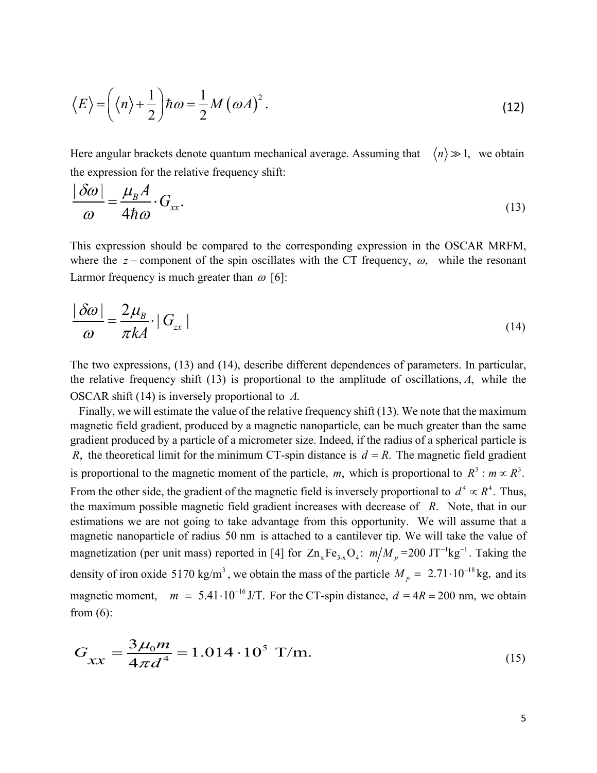$$
\langle E \rangle = \left( \langle n \rangle + \frac{1}{2} \right) \hbar \omega = \frac{1}{2} M \left( \omega A \right)^2.
$$
 (12)

Here angular brackets denote quantum mechanical average. Assuming that  $\langle n \rangle \gg 1$ , we obtain the expression for the relative frequency shift:

$$
\frac{|\delta\omega|}{\omega} = \frac{\mu_B A}{4\hbar\omega} \cdot G_{xx}.\tag{13}
$$

This expression should be compared to the corresponding expression in the OSCAR MRFM, where the *z* − component of the spin oscillates with the CT frequency,  $\omega$ , while the resonant Larmor frequency is much greater than  $\omega$  [6]:

$$
\frac{|\delta\omega|}{\omega} = \frac{2\mu_B}{\pi k A} \cdot |G_{xx}| \tag{14}
$$

The two expressions, (13) and (14), describe different dependences of parameters. In particular, the relative frequency shift (13) is proportional to the amplitude of oscillations, *A*, while the OSCAR shift (14) is inversely proportional to *A*.

 Finally, we will estimate the value of the relative frequency shift (13). We note that the maximum magnetic field gradient, produced by a magnetic nanoparticle, can be much greater than the same gradient produced by a particle of a micrometer size. Indeed, if the radius of a spherical particle is *R*, the theoretical limit for the minimum CT-spin distance is  $d = R$ . The magnetic field gradient is proportional to the magnetic moment of the particle, *m*, which is proportional to  $R^3$ :  $m \propto R^3$ . From the other side, the gradient of the magnetic field is inversely proportional to  $d^4 \propto R^4$ . Thus, the maximum possible magnetic field gradient increases with decrease of *R*. Note, that in our estimations we are not going to take advantage from this opportunity. We will assume that a magnetic nanoparticle of radius 50 nm is attached to a cantilever tip. We will take the value of magnetization (per unit mass) reported in [4] for  $Zn_xFe_{3-x}O_4$ :  $m/M_p = 200 \text{ JT}^{-1}\text{kg}^{-1}$ . Taking the density of iron oxide 5170 kg/m<sup>3</sup>, we obtain the mass of the particle  $M_p = 2.71 \cdot 10^{-18}$  kg, and its magnetic moment,  $m = 5.41 \cdot 10^{-16}$  J/T. For the CT-spin distance,  $d = 4R = 200$  nm, we obtain from  $(6)$ :

$$
G_{xx} = \frac{3\mu_0 m}{4\pi d^4} = 1.014 \cdot 10^5 \text{ T/m}.
$$
 (15)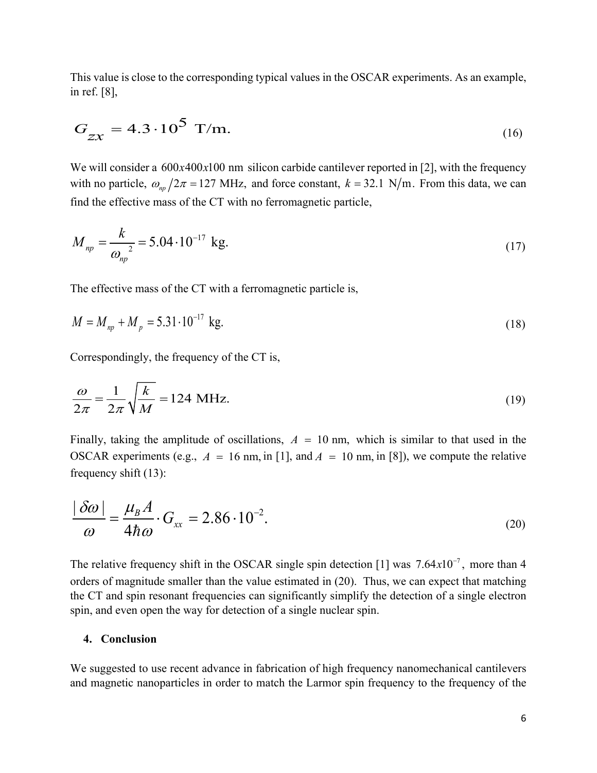This value is close to the corresponding typical values in the OSCAR experiments. As an example, in ref. [8],

$$
G_{zx} = 4.3 \cdot 10^5 \text{ T/m}.
$$
 (16)

We will consider a  $600x400x100$  nm silicon carbide cantilever reported in [2], with the frequency with no particle,  $\omega_{np}/2\pi = 127$  MHz, and force constant,  $k = 32.1$  N/m. From this data, we can find the effective mass of the CT with no ferromagnetic particle,

$$
M_{np} = \frac{k}{\omega_{np}^2} = 5.04 \cdot 10^{-17} \text{ kg.}
$$
 (17)

The effective mass of the CT with a ferromagnetic particle is,

$$
M = M_{np} + M_p = 5.31 \cdot 10^{-17} \text{ kg.}
$$
 (18)

Correspondingly, the frequency of the CT is,

$$
\frac{\omega}{2\pi} = \frac{1}{2\pi} \sqrt{\frac{k}{M}} = 124 \text{ MHz.}
$$
\n(19)

Finally, taking the amplitude of oscillations,  $A = 10$  nm, which is similar to that used in the OSCAR experiments (e.g.,  $A = 16$  nm, in [1], and  $A = 10$  nm, in [8]), we compute the relative frequency shift (13):

$$
\frac{|\delta\omega|}{\omega} = \frac{\mu_B A}{4\hbar\omega} \cdot G_{xx} = 2.86 \cdot 10^{-2}.
$$
\n(20)

The relative frequency shift in the OSCAR single spin detection [1] was  $7.64x10^{-7}$ , more than 4 orders of magnitude smaller than the value estimated in (20). Thus, we can expect that matching the CT and spin resonant frequencies can significantly simplify the detection of a single electron spin, and even open the way for detection of a single nuclear spin.

#### **4. Conclusion**

We suggested to use recent advance in fabrication of high frequency nanomechanical cantilevers and magnetic nanoparticles in order to match the Larmor spin frequency to the frequency of the